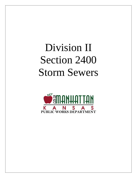# Division II Section 2400 Storm Sewers

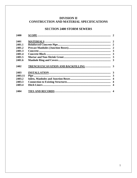# **DIVISION II** CONSTRUCTION AND MATERIAL SPECIFICATIONS

## **SECTION 2400 STORM SEWERS**

| 2400    |  |
|---------|--|
| 2401    |  |
| 2401.1  |  |
| 2401.2  |  |
| 2401.3  |  |
| 2401.4  |  |
| 2401.5  |  |
| 2401.6  |  |
| 2402    |  |
| 2403    |  |
| 2403.11 |  |
| 2403.2  |  |
| 2403.3  |  |
| 2403.4  |  |
| 2404    |  |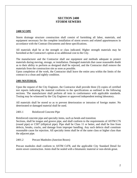## **SECTION 2400 STORM SEWERS**

#### **2400 SCOPE**

Storm drainage structure construction shall consist of furnishing all labor, materials, and equipment necessary for the complete installation of storm sewers and related appurtenances in accordance with the Contract Documents and these specifications.

All materials shall be at the strength or class indicated. Higher strength materials may be furnished at the Contractor's option at no additional cost to the City.

The manufacturer and the Contractor shall use equipment and methods adequate to protect materials during moving, storage, or installation. Damaged materials that cause reasonable doubt as to their ability to perform as designed shall be rejected, and the Contractor shall remove the materials from the construction site as soon as possible.

Upon completion of the work, the Contractor shall leave the entire area within the limits of the contract in a clean and sightly condition.

#### **2401 MATERIAL**

Upon the request of the City Engineer, the Contractor shall provide three (3) copies of certified test reports indicating the material conforms to the specifications as outlined in the following sections. The manufacturer shall perform all tests in conformance with applicable standards. Testing may be witnessed by the City Engineer or approved independent testing laboratory.

All materials shall be stored so as to prevent deterioration or intrusion of foreign matter. No deteriorated or damaged material shall be used.

#### 2401.1 Reinforced Concrete Pipe

Reinforced concrete pipe and specialty items, such as bends and transition

Sections, shall be tongue and groove pipe, and shall conform to the requirements of ASTM C76 (round pipe) or C507 (elliptical pipe). Pipe shall be Class 11 or better, and shall be free from defects, breaks, cracks, and damage from improper handling. Any such defects shall constitute reasonable cause for rejection. All specialty items shall be of the same class or higher class than the adjacent pipe.

#### 2401.2 Precast Manholes (Junction Boxes)

Precast manholes shall conform to ASTM C478, and the applicable City Standard Detail for storm sewer construction. Joints shall be sealed with a bitumastic material or non-shrink grout.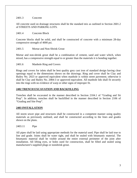#### 2401.3 Concrete

All concrete used on drainage structures shall be the standard mix as outlined in Section 2601.2 of STREETS AND PARKING LOTS.

#### 2401.4 Concrete Block

Concrete blocks shall be solid, and shall be constructed of concrete with a minimum 28-day compressive strength of 4000 psi.

2401.5 Mortar and Non-Shrink Grout

Mortar and non-shrink grout shall be a combination of cement, sand and water which, when mixed, has a compressive strength equal to or greater than the materials it is bonding together.

2401.6 Manhole Ring and Covers

Rings and covers for inlets shall be best quality grey cast iron of standard design having clear openings equal to the dimensions shown on the drawings. Ring and cover shall be Clay and Bailey No. 2023 or approved equivalent when manhole is within street pavement; otherwise it shall be Clay and Bailey No. 2084-3 or approved equivalent. All manhole lids shall fit securely into the rings with no evidence of warp or other signs of improper fit.

## **2402 TRENCH EXCAVATION AND BACKFILLING**

Trenches shall be excavated in the manner described in Section 2104.1 of "Grading and Sit Prep". In addition, trenches shall be backfilled in the manner described in Section 2106 of "Grading and Site Prep".

#### **2403 INSTALLATION**

All storm sewer pipe and structures shall be constructed in a competent manner using quality materials as previously outlined, and shall be constructed according to the lines and grades shown on the plans.

2403.11 Pipe

All pipes shall be laid using appropriate methods for the material used. Pipe shall be laid true to line and grade. Joints shall be water tight, and shall be sealed with bitumastic material. The bitumastic material shall be visible around the entire external perimeter of the joint after installation. All lifting eyes, or holes used for construction, shall be filled and sealed using manufacturer's supplied plugs or nonshrink grout.